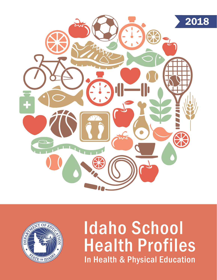



Idaho School Health Profiles In Health & Physical Education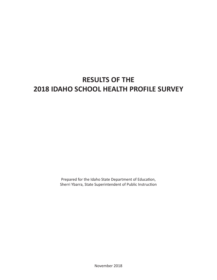# **RESULTS OF THE 2018 IDAHO SCHOOL HEALTH PROFILE SURVEY**

Prepared for the Idaho State Department of Education, Sherri Ybarra, State Superintendent of Public Instruction

November 2018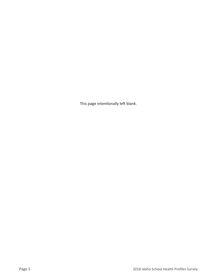This page intentionally left blank.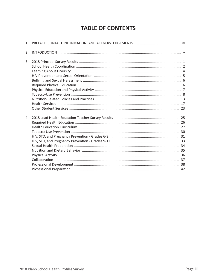# **TABLE OF CONTENTS**

| 2.             |  |
|----------------|--|
| 3.             |  |
|                |  |
| 4 <sup>1</sup> |  |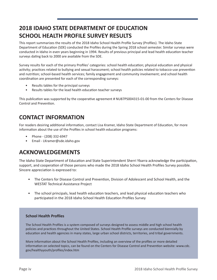# <span id="page-4-0"></span>**2018 IDAHO STATE DEPARTMENT OF EDUCATION SCHOOL HEALTH PROFILE SURVEY RESULTS**

This report summarizes the results of the 2018 Idaho School Health Profile Survey (Profiles). The Idaho State Department of Education (SDE) conducted the Profiles during the Spring 2018 school semester. Similar surveys were conducted in Idaho in even years beginning in 1994. Results of previous principal and lead health education teacher surveys dating back to 2000 are available from the SDE.

Survey results for each of the primary Profiles' categories: school health education; physical education and physical activity; practices related to bullying and sexual harassment; school health policies related to tobacco-use prevention and nutrition; school-based health services; family engagement and community involvement; and school health coordination are presented for each of the corresponding surveys:

- Results tables for the principal surveys
- Results tables for the lead health education teacher surveys

This publication was supported by the cooperative agreement # NU87PS004315-01-00 from the Centers for Disease Control and Prevention.

# **CONTACT INFORMATION**

For readers desiring additional information, contact Lisa Kramer, Idaho State Department of Education, for more information about the use of the Profiles in school health education programs:

- Phone (208) 332‑6947
- Email LKramer@sde.idaho.gov

### **ACKNOWLEDGEMENTS**

The Idaho State Department of Education and State Superintendent Sherri Ybarra acknowledge the participation, support, and cooperation of those persons who made the 2018 Idaho School Health Profiles Survey possible. Sincere appreciation is expressed to:

- The Centers for Disease Control and Prevention, Division of Adolescent and School Health, and the WESTAT Technical Assistance Project
- The school principals, lead health education teachers, and lead physical education teachers who participated in the 2018 Idaho School Health Education Profiles Survey

### **School Health Profiles**

The School Health Profiles is a system composed of surveys designed to assess middle and high school health policies and practices throughout the United States. School Health Profile surveys are conducted biennially by education and health agencies in many states, large urban school districts, territories, and tribal governments.

More information about the School Health Profiles, including an overview of the profiles or more detailed information on selected topics, can be found on the Centers for Disease Control and Prevention website: [www.cdc.](http://www.cdc.gov/healthyyouth/profiles/index.htm) [gov/healthyyouth/profiles/index.htm](http://www.cdc.gov/healthyyouth/profiles/index.htm)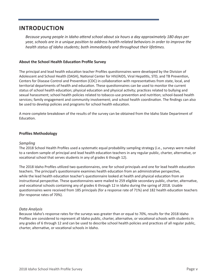### <span id="page-5-0"></span>**INTRODUCTION**

*Because young people in Idaho attend school about six hours a day approximately 180 days per year, schools are in a unique position to address health-related behaviors in order to improve the health status of Idaho students; both immediately and throughout their lifetimes.*

### **About the School Health Education Profile Survey**

The principal and lead health education teacher Profiles questionnaires were developed by the Division of Adolescent and School Health (DASH), National Center for HIV/AIDS, Viral Hepatitis, STD, and TB Prevention, Centers for Disease Control and Prevention (CDC) in collaboration with representatives from state, local, and territorial departments of health and education. These questionnaires can be used to monitor the current status of school health education; physical education and physical activity; practices related to bullying and sexual harassment; school health policies related to tobacco-use prevention and nutrition; school-based health services; family engagement and community involvement; and school health coordination. The findings can also be used to develop policies and programs for school health education.

A more complete breakdown of the results of the survey can be obtained from the Idaho State Department of Education.

### **Profiles Methodology**

### *Sampling*

The 2018 School Health Profiles used a systematic equal probability sampling strategy (i.e., surveys were mailed to a random sample of principal and lead health education teachers in any regular public, charter, alternative, or vocational school that serves students in any of grades 6 though 12).

The 2018 Idaho Profiles utilized two questionnaires, one for school principals and one for lead health education teachers. The principal's questionnaire examines health education from an administrative perspective, while the lead health education teacher's questionnaire looked at health and physical education from an instructional perspective. These questionnaires were mailed to 259 eligible secondary public, charter, alternative, and vocational schools containing any of grades 6 through 12 in Idaho during the spring of 2018. Usable questionnaires were received from 185 principals (for a response rate of 71%) and 182 health education teachers (for response rates of 70%).

### *Data Analysis*

Because Idaho's response rates for the surveys was greater than or equal to 70%, results for the 2018 Idaho Profiles are considered to represent all Idaho public, charter, alternative, or vocational schools with students in any grades of 6 through 12 and can be used to describe school health policies and practices of all regular public, charter, alternative, or vocational schools in Idaho.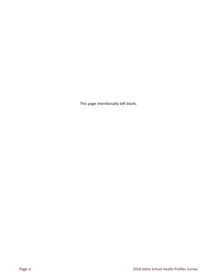This page intentionally left blank.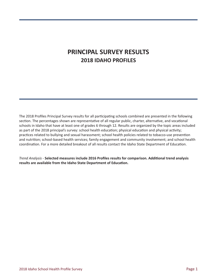# <span id="page-7-0"></span>**PRINCIPAL SURVEY RESULTS 2018 IDAHO PROFILES**

The 2018 Profiles Principal Survey results for all participating schools combined are presented in the following section. The percentages shown are representative of all regular public, charter, alternative, and vocational schools in Idaho that have at least one of grades 6 through 12. Results are organized by the topic areas included as part of the 2018 principal's survey: school health education; physical education and physical activity; practices related to bullying and sexual harassment; school health policies related to tobacco-use prevention and nutrition; school-based health services; family engagement and community involvement; and school health coordination. For a more detailed breakout of all results contact the Idaho State Department of Education.

*Trend Analysis -* **Selected measures include 2016 Profiles results for comparison. Additional trend analysis results are available from the Idaho State Department of Education.**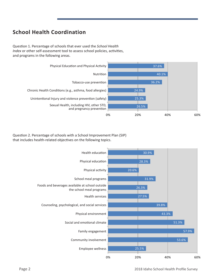# <span id="page-8-0"></span>**School Health Coordination**

Question 1. Percentage of schools that ever used the *School Health Index* or other self-assessment tool to assess school policies, activities, and programs in the following areas.



Question 2. Percentage of schools with a School Improvement Plan (SIP) that includes health-related objectives on the following topics.

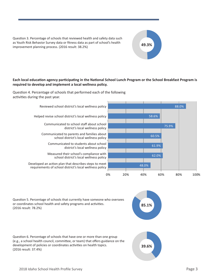#### **Each local education agency participating in the National School Lunch Program or the School Breakfast Program is required to develop and implement a local wellness policy.**

Question 4. Percentage of schools that performed each of the following activities during the past year.



Question 5. Percentage of schools that currently have someone who oversees or coordinates school health and safety programs and activities. (2016 result: 78.2%)



**49.3%**

Question 6. Percentage of schools that have one or more than one group (e.g., a school health council, committee, or team) that offers guidance on the development of policies or coordinates activities on health topics. (2016 result: 37.4%)

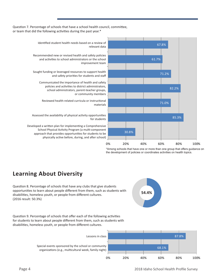<span id="page-10-0"></span>Question 7. Percentage of schools that have a school health council, committee, or team that did the following activities during the past year.\*



\*Among schools that have one or more than one group that offers guidance on the development of policies or coordinates activities on health topics.

# **Learning About Diversity**

Question 8. Percentage of schools that have any clubs that give students opportunities to learn about people different from them, such as students with disabilities, homeless youth, or people from different cultures. (2016 result: 50.3%)



Question 9. Percentage of schools that offer each of the following activities for students to learn about people different from them, such as students with disabilities, homeless youth, or people from different cultures.

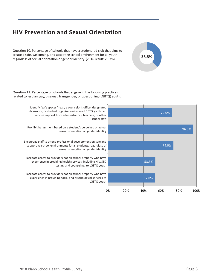# <span id="page-11-0"></span>**HIV Prevention and Sexual Orientation**

Question 10. Percentage of schools that have a student-led club that aims to create a safe, welcoming, and accepting school environment for all youth, regardless of sexual orientation or gender identity. (2016 result: 26.3%)

Question 11. Percentage of schools that engage in the following practices related to lesbian, gay, bisexual, transgender, or questioning (LGBTQ) youth.



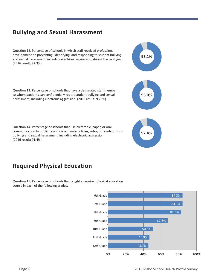# <span id="page-12-0"></span>**Bullying and Sexual Harassment**

Question 13. Percentage of schools that have a designated staff member to whom students can confidentially report student bullying and sexual harassment, including electronic aggression. (2016 result: 93.6%) Question 14. Percentage of schools that use electronic, paper, or oral communication to publicize and disseminate policies, rules, or regulations on bullying and sexual harassment, including electronic aggression. Question 12. Percentage of schools in which staff received professional development on preventing, identifying, and responding to student bullying and sexual harassment, including electronic aggression, during the past year. (2016 result: 82.3%) **93.1% 95.0% 92.4%**



Question 15. Percentage of schools that taught a required physical education course in each of the following grades.



(2016 result: 91.4%)

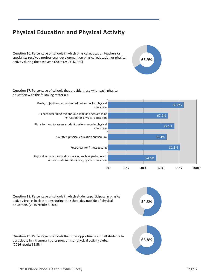# 2018 Idaho School Health Profile Survey Page 7

# <span id="page-13-0"></span>**Physical Education and Physical Activity**

Question 16. Percentage of schools in which physical education teachers or specialists received professional development on physical education or physical activity during the past year. (2016 result: 67.3%)

Question 17. Percentage of schools that provide those who teach physical education with the following materials.





activity breaks in classrooms during the school day outside of physical education. (2016 result: 42.0%)

Question 18. Percentage of schools in which students participate in physical

Question 19. Percentage of schools that offer opportunities for all students to participate in intramural sports programs or physical activity clubs. (2016 result: 56.5%)

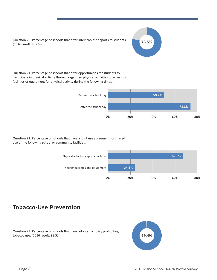<span id="page-14-0"></span>Question 20. Percentage of schools that offer interscholastic sports to students. (2016 result: 80.6%)



Question 21. Percentage of schools that offer opportunities for students to participate in physical activity through organized physical activities or access to facilities or equipment for physical activity during the following times.



Question 22. Percentage of schools that have a joint use agreement for shared use of the following school or community facilities.



## **Tobacco-Use Prevention**

Question 23. Percentage of schools that have adopted a policy prohibiting tobacco use. (2016 result: 98.5%)

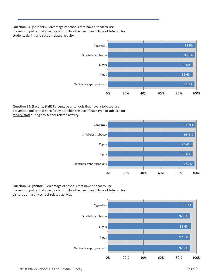Question 24. (Students) Percentage of schools that have a tobacco-use prevention policy that specifically prohibits the use of each type of tobacco for students during any school-related activity.



Question 24. (Faculty/Staff) Percentage of schools that have a tobacco-use prevention policy that specifically prohibits the use of each type of tobacco for faculty/staff during any school-related activity.



Question 24. (Visitors) Percentage of schools that have a tobacco-use prevention policy that specifically prohibits the use of each type of tobacco for visitors during any school-related activity.

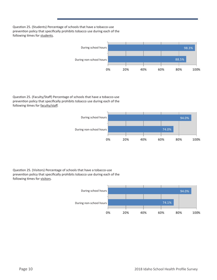Question 25. (Students) Percentage of schools that have a tobacco-use prevention policy that specifically prohibits tobacco use during each of the following times for students.



Question 25. (Faculty/Staff) Percentage of schools that have a tobacco-use prevention policy that specifically prohibits tobacco use during each of the following times for faculty/staff.



Question 25. (Visitors) Percentage of schools that have a tobacco-use prevention policy that specifically prohibits tobacco use during each of the following times for visitors.

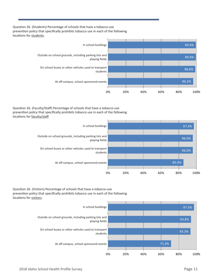Question 26. (Students) Percentage of schools that have a tobacco-use prevention policy that specifically prohibits tobacco use in each of the following locations for students.



Question 26. (Faculty/Staff) Percentage of schools that have a tobacco-use prevention policy that specifically prohibits tobacco use in each of the following locations for faculty/staff.



Question 26. (Visitors) Percentage of schools that have a tobacco-use prevention policy that specifically prohibits tobacco use in each of the following locations for visitors.

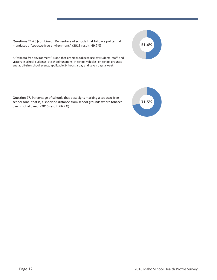Questions 24-26 (combined). Percentage of schools that follow a policy that mandates a "tobacco-free environment." (2016 result: 49.7%)

A "tobacco-free environment" is one that prohibits tobacco use by students, staff, and visitors in school buildings, at school functions, in school vehicles, on school grounds, and at off-site school events, applicable 24 hours a day and seven days a week.

Question 27. Percentage of schools that post signs marking a tobacco-free school zone, that is, a specified distance from school grounds where tobacco use is not allowed. (2016 result: 66.2%)





**51.4%**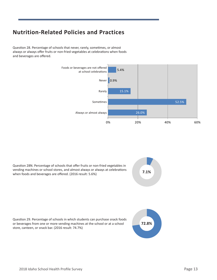# <span id="page-19-0"></span>**Nutrition-Related Policies and Practices**

Question 28. Percentage of schools that never, rarely, sometimes, or almost always or always offer fruits or non-fried vegetables at celebrations when foods and beverages are offered.





Question 29. Percentage of schools in which students can purchase snack foods or beverages from one or more vending machines at the school or at a school store, canteen, or snack bar. (2016 result: 74.7%)

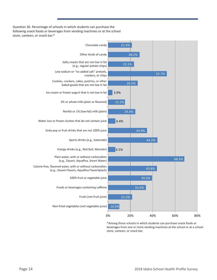Question 30. Percentage of schools in which students can purchase the following snack foods or beverages from vending machines or at the school store, canteen, or snack bar.\*



\*Among those schools in which students can purchase snack foods or beverages from one or more vending machines at the school or at a school store, canteen, or snack bar.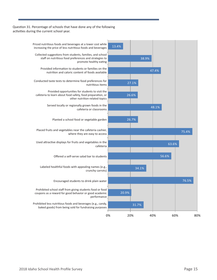Question 31. Percentage of schools that have done any of the following activities during the current school year.

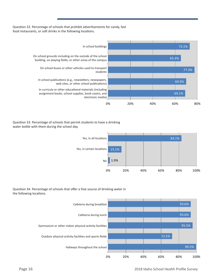Question 32. Percentage of schools that prohibit advertisements for candy, fast food restaurants, or soft drinks in the following locations.



Question 33. Percentage of schools that permit students to have a drinking water bottle with them during the school day.



Question 34. Percentage of schools that offer a free source of drinking water in the following locations.

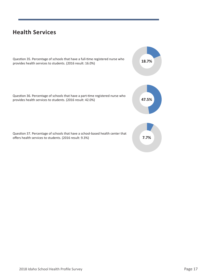# <span id="page-23-0"></span>**Health Services**

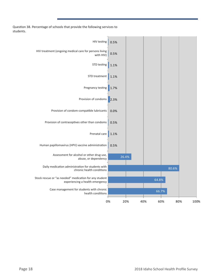

Question 38. Percentage of schools that provide the following services to students.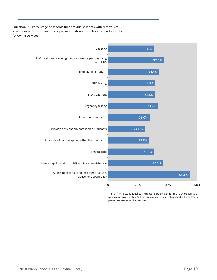Question 39. Percentage of schools that provide students with referrals to any organizations or health care professionals not on school property for the following services.



\* nPEP (non-occupational post-exposure prophylaxis for HIV--a short course of medication given within 72 hours of exposure to infectious bodily fluids from a person known to be HIV positive)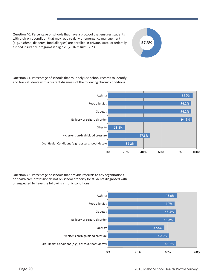Question 40. Percentage of schools that have a protocol that ensures students with a chronic condition that may require daily or emergency management (e.g., asthma, diabetes, food allergies) are enrolled in private, state, or federally funded insurance programs if eligible. (2016 result: 57.7%)



Question 41. Percentage of schools that routinely use school records to identify and track students with a current diagnosis of the following chronic conditions.



Question 42. Percentage of schools that provide referrals to any organizations or health care professionals not on school property for students diagnosed with or suspected to have the following chronic conditions.

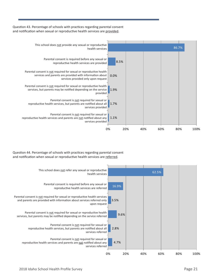Question 43. Percentage of schools with practices regarding parental consent and notification when sexual or reproductive health services are provided.



Question 44. Percentage of schools with practices regarding parental consent and notification when sexual or reproductive health services are referred.

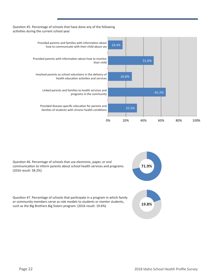Question 45. Percentage of schools that have done any of the following activities during the current school year.



Question 46. Percentage of schools that use electronic, paper, or oral communication to inform parents about school health services and programs. (2016 result: 58.2%)



Question 47. Percentage of schools that participate in a program in which family or community members serve as role models to students or mentor students, such as the Big Brothers Big Sisters program. (2016 result: 19.6%)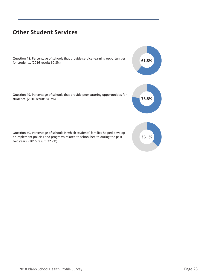# <span id="page-29-0"></span>**Other Student Services**

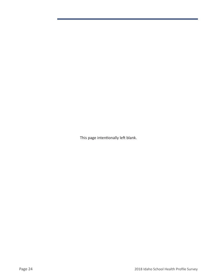This page intentionally left blank.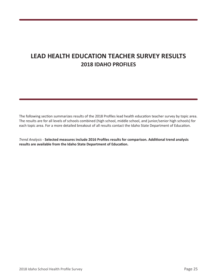# <span id="page-31-0"></span>**LEAD HEALTH EDUCATION TEACHER SURVEY RESULTS 2018 IDAHO PROFILES**

The following section summarizes results of the 2018 Profiles lead health education teacher survey by topic area. The results are for all levels of schools combined (high school, middle school, and junior/senior high schools) for each topic area. For a more detailed breakout of all results contact the Idaho State Department of Education.

*Trend Analysis -* **Selected measures include 2016 Profiles results for comparison. Additional trend analysis results are available from the Idaho State Department of Education.**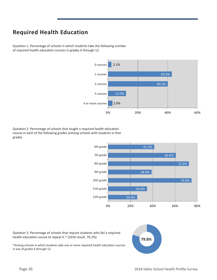# <span id="page-32-0"></span>**Required Health Education**

Question 1. Percentage of schools in which students take the following number of required health education courses in grades 6 through 12.



Question 2. Percentage of schools that taught a required health education course in each of the following grades (among schools with students in that grade).





Question 3. Percentage of schools that require students who fail a required health education course to repeat it.\* (2016 result: 76.2%)

\*Among schools in which students take one or more required health education courses in any of grades 6 through 12.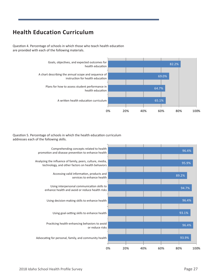# <span id="page-33-0"></span>**Health Education Curriculum**

Question 4. Percentage of schools in which those who teach health education are provided with each of the following materials.



Question 5. Percentage of schools in which the health education curriculum addresses each of the following skills.

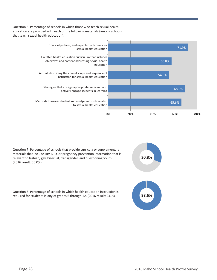Question 6. Percentage of schools in which those who teach sexual health education are provided with each of the following materials (among schools that teach sexual health education).





Question 7. Percentage of schools that provide curricula or supplementary materials that include HIV, STD, or pregnancy prevention information that is relevant to lesbian, gay, bisexual, transgender, and questioning youth. (2016 result: 36.0%)

Question 8. Percentage of schools in which health education instruction is required for students in any of grades 6 through 12. (2016 result: 94.7%)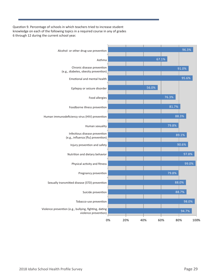Question 9. Percentage of schools in which teachers tried to increase student knowledge on each of the following topics in a required course in any of grades 6 through 12 during the current school year.

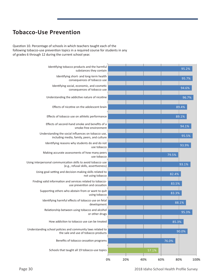# <span id="page-36-0"></span>**Tobacco-Use Prevention**

Question 10. Percentage of schools in which teachers taught each of the following tobacco-use prevention topics in a required course for students in any of grades 6 through 12 during the current school year.

| Identifying tobacco products and the harmful<br>substances they contain                                |    |     |       |       | 95.2%       |
|--------------------------------------------------------------------------------------------------------|----|-----|-------|-------|-------------|
| Identifying short- and long-term health<br>consequences of tobacco use                                 |    |     |       |       | 95.7%       |
| Identifying social, economic, and cosmetic<br>consequences of tobacco use                              |    |     |       |       | 94.6%       |
| Understanding the addictive nature of nicotine                                                         |    |     |       |       | 96.7%       |
| Effects of nicotine on the adolescent brain                                                            |    |     |       |       | 89.4%       |
| Effects of tobacco use on athletic performance                                                         |    |     |       |       | 89.1%       |
| Effects of second-hand smoke and benefits of a<br>smoke-free environment                               |    |     |       |       | 94.1%       |
| Understanding the social influences on tobacco use,<br>including media, family, peers, and culture     |    |     |       |       | 95.5%       |
| Identifying reasons why students do and do not<br>use tobacco                                          |    |     |       |       | 93.9%       |
| Making accurate assessments of how many peers<br>use tobacco                                           |    |     |       | 79.5% |             |
| Using interpersonal communication skills to avoid tobacco use<br>(e.g., refusal skills, assertiveness) |    |     |       |       | 93.1%       |
| Using goal-setting and decision-making skills related to<br>not using tobacco                          |    |     |       | 82.4% |             |
| Finding valid information and services related to tobacco-<br>use prevention and cessation             |    |     |       | 83.5% |             |
| Supporting others who abstain from or want to quit<br>using tobacco                                    |    |     |       | 83.3% |             |
| Identifying harmful effects of tobacco use on fetal<br>development                                     |    |     |       |       | 88.1%       |
| Relationship between using tobacco and alcohol<br>or other drugs                                       |    |     |       |       | 95.3%       |
| How addiction to tobacco use can be treated                                                            |    |     |       | 85.3% |             |
| Understanding school policies and community laws related to<br>the sale and use of tobacco products    |    |     |       |       | 90.0%       |
| Benefits of tobacco cessation programs                                                                 |    |     |       | 76.0% |             |
| Schools that taught all 19 tobacco-use topics                                                          |    |     | 57.1% |       |             |
|                                                                                                        | 0% | 20% | 40%   | 60%   | 80%<br>100% |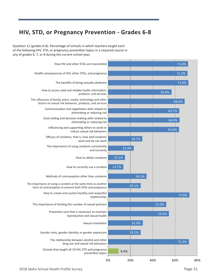# <span id="page-37-0"></span>**HIV, STD, or Pregnancy Prevention - Grades 6-8**

Question 11 (grades 6-8). Percentage of schools in which teachers taught each of the following HIV, STD, or pregnancy prevention topics in a required course in any of grades 6, 7, or 8 during the current school year.

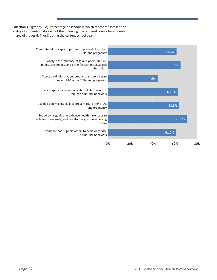Question 12 (grades 6-8). Percentage of schools in which teachers assessed the ability of students to do each of the following in a required course for students in any of grades 6, 7, or 8 during the current school year.

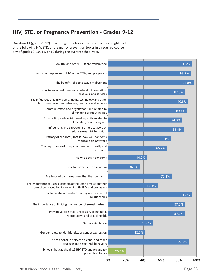### <span id="page-39-0"></span>**HIV, STD, or Pregnancy Prevention - Grades 9-12**

Question 11 (grades 9-12). Percentage of schools in which teachers taught each of the following HIV, STD, or pregnancy prevention topics in a required course in any of grades 9, 10, 11, or 12 during the current school year.

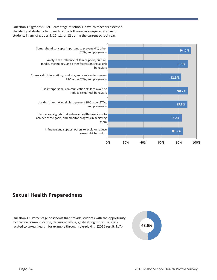<span id="page-40-0"></span>Question 12 (grades 9-12). Percentage of schools in which teachers assessed the ability of students to do each of the following in a required course for students in any of grades 9, 10, 11, or 12 during the current school year.



### **Sexual Health Preparedness**

Question 13. Percentage of schools that provide students with the opportunity to practice communication, decision-making, goal-setting, or refusal skills related to sexual health, for example through role-playing. (2016 result: N/A)

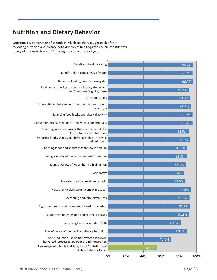# <span id="page-41-0"></span>**Nutrition and Dietary Behavior**

Question 14. Percentage of schools in which teachers taught each of the following nutrition and dietary behavior topics in a required course for students in any of grades 6 through 12 during the current school year.

|      | 96.2% |       |       |     | Benefits of healthy eating                                                             |
|------|-------|-------|-------|-----|----------------------------------------------------------------------------------------|
|      |       |       |       |     | Benefits of drinking plenty of water                                                   |
|      | 95.7% |       |       |     |                                                                                        |
|      | 96.2% |       |       |     | Benefits of eating breakfast every day                                                 |
|      |       |       |       |     | Food guidance using the current Dietary Guidelines                                     |
|      | 91.8% |       |       |     | for Americans (e.g., MyPlate)                                                          |
|      | 93.0% |       |       |     | Using food labels                                                                      |
|      | 93.7% |       |       |     | Differentiating between nutritious and non-nutritious                                  |
|      |       |       |       |     | beverages                                                                              |
|      | 95.7% |       |       |     | Balancing food intake and physical activity                                            |
|      | 95.6% |       |       |     | Eating more fruits, vegetables, and whole grain products                               |
|      |       |       |       |     |                                                                                        |
|      | 91.0% |       |       |     | Choosing foods and snacks that are low in solid fat<br>(i.e., saturated and trans fat) |
|      | 92.5% |       |       |     | Choosing foods, snacks, and beverages that are low in                                  |
|      |       |       |       |     | added sugars                                                                           |
|      | 89.2% |       |       |     | Choosing foods and snacks that are low in sodium                                       |
|      | 88.8% |       |       |     | Eating a variety of foods that are high in calcium                                     |
|      |       |       |       |     |                                                                                        |
|      | 88.0% |       |       |     | Eating a variety of foods that are high in iron                                        |
|      | 85.4% |       |       |     | Food safety                                                                            |
|      |       |       |       |     |                                                                                        |
|      | 87.5% |       |       |     | Preparing healthy meals and snacks                                                     |
|      | 93.5% |       |       |     | Risks of unhealthy weight control practices                                            |
|      |       |       |       |     |                                                                                        |
|      | 91.9% |       |       |     | Accepting body size differences                                                        |
|      | 92.7% |       |       |     | Signs, symptoms, and treatment for eating disorders                                    |
|      | 91.8% |       |       |     |                                                                                        |
|      |       |       |       |     | Relationship between diet and chronic diseases                                         |
|      | 82.8% |       |       |     | Assessing body mass index (BMI)                                                        |
|      | 89.5% |       |       |     | The influence of the media on dietary behaviors                                        |
|      |       |       |       |     | Food production, including how food is grown,                                          |
|      |       | 71.2% |       |     | harvested, processed, packaged, and transported                                        |
|      |       |       | 55.4% |     | Percentage of schools that taught all 22 nutrition and                                 |
|      |       |       |       |     | dietary behavior topics                                                                |
| 100% | 80%   | 60%   | 40%   | 20% | 0%                                                                                     |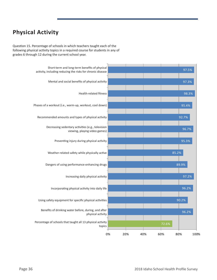# <span id="page-42-0"></span>**Physical Activity**

Question 15. Percentage of schools in which teachers taught each of the following physical activity topics in a required course for students in any of grades 6 through 12 during the current school year.

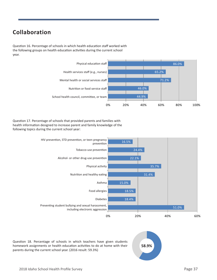# <span id="page-43-0"></span>**Collaboration**

Question 16. Percentage of schools in which health education staff worked with the following groups on health education activities during the current school year.

![](_page_43_Figure_2.jpeg)

Question 17. Percentage of schools that provided parents and families with health information designed to increase parent and family knowledge of the following topics during the current school year:

![](_page_43_Figure_4.jpeg)

![](_page_43_Picture_5.jpeg)

Question 18. Percentage of schools in which teachers have given students homework assignments or health education activities to do at home with their parents during the current school year. (2016 result: 59.3%)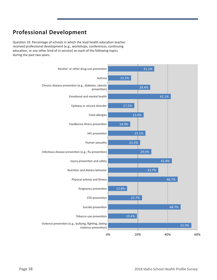# <span id="page-44-0"></span>**Professional Development**

Question 19. Percentage of schools in which the lead health education teacher received professional development (e.g., workshops, conferences, continuing education, or any other kind of in-service) on each of the following topics during the past two years.

![](_page_44_Figure_2.jpeg)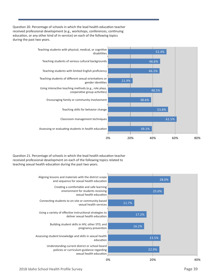Question 20. Percentage of schools in which the lead health education teacher received professional development (e.g., workshops, conferences, continuing education, or any other kind of in-service) on each of the following topics during the past two years.

![](_page_45_Figure_1.jpeg)

Question 21. Percentage of schools in which the lead health education teacher received professional development on each of the following topics related to teaching sexual health education during the past two years.

![](_page_45_Figure_3.jpeg)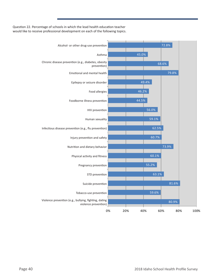![](_page_46_Figure_0.jpeg)

Question 22. Percentage of schools in which the lead health education teacher would like to receive professional development on each of the following topics.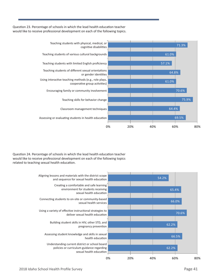Question 23. Percentage of schools in which the lead health education teacher would like to receive professional development on each of the following topics.

![](_page_47_Figure_1.jpeg)

Question 24. Percentage of schools in which the lead health education teacher would like to receive professional development on each of the following topics related to teaching sexual health education.

![](_page_47_Figure_3.jpeg)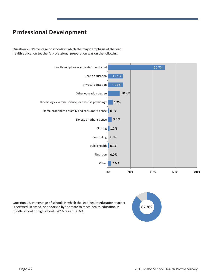# <span id="page-48-0"></span>**Professional Development**

Question 25. Percentage of schools in which the major emphasis of the lead health education teacher's professional preparation was on the following:

![](_page_48_Figure_2.jpeg)

![](_page_48_Figure_3.jpeg)

Question 26. Percentage of schools in which the lead health education teacher is certified, licensed, or endorsed by the state to teach health education in middle school or high school. (2016 result: 86.6%)